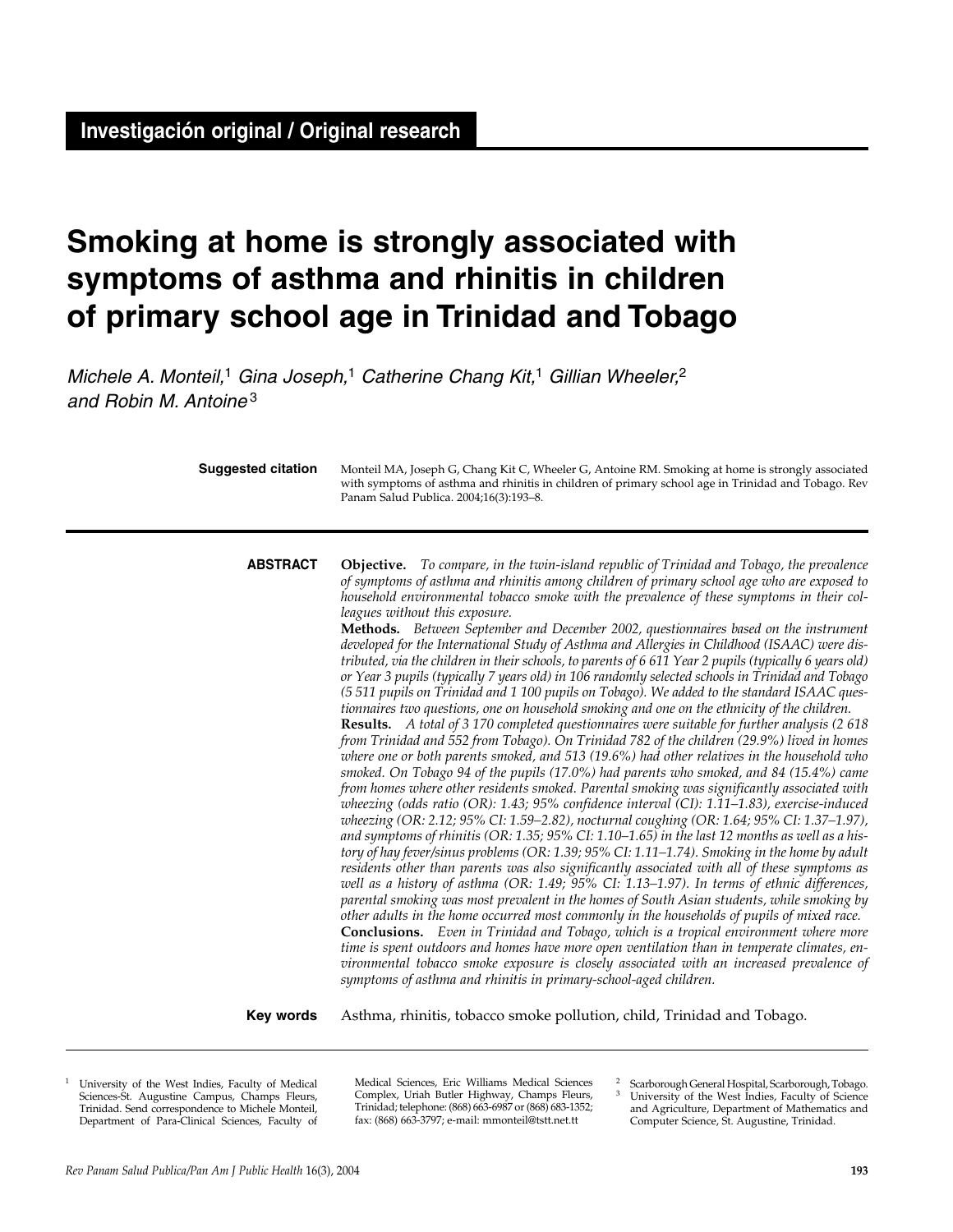# **Smoking at home is strongly associated with symptoms of asthma and rhinitis in children of primary school age in Trinidad and Tobago**

*Michele A. Monteil,*<sup>1</sup> *Gina Joseph,*<sup>1</sup> *Catherine Chang Kit,*<sup>1</sup> *Gillian Wheeler,*<sup>2</sup> *and Robin M. Antoine* <sup>3</sup>

| <b>Suggested citation</b> | Monteil MA, Joseph G, Chang Kit C, Wheeler G, Antoine RM. Smoking at home is strongly associated<br>with symptoms of asthma and rhinitis in children of primary school age in Trinidad and Tobago. Rev<br>Panam Salud Publica. 2004;16(3):193-8.                                                                                                                                                                                                                                                                                                                                                                                                                                                                                                                                                                                                                                                                                                                                                                                                                                                                                                                                                                                                                                                                                                                                                                                                                                                                                                                                                                                                                                                                                                                                                                                                                                                                                                                                                                                                                                                                                                                                                                                                                                                                                                                                                                                                                                                                                                                                     |  |  |  |  |
|---------------------------|--------------------------------------------------------------------------------------------------------------------------------------------------------------------------------------------------------------------------------------------------------------------------------------------------------------------------------------------------------------------------------------------------------------------------------------------------------------------------------------------------------------------------------------------------------------------------------------------------------------------------------------------------------------------------------------------------------------------------------------------------------------------------------------------------------------------------------------------------------------------------------------------------------------------------------------------------------------------------------------------------------------------------------------------------------------------------------------------------------------------------------------------------------------------------------------------------------------------------------------------------------------------------------------------------------------------------------------------------------------------------------------------------------------------------------------------------------------------------------------------------------------------------------------------------------------------------------------------------------------------------------------------------------------------------------------------------------------------------------------------------------------------------------------------------------------------------------------------------------------------------------------------------------------------------------------------------------------------------------------------------------------------------------------------------------------------------------------------------------------------------------------------------------------------------------------------------------------------------------------------------------------------------------------------------------------------------------------------------------------------------------------------------------------------------------------------------------------------------------------------------------------------------------------------------------------------------------------|--|--|--|--|
| <b>ABSTRACT</b>           | <b>Objective.</b> To compare, in the twin-island republic of Trinidad and Tobago, the prevalence<br>of symptoms of asthma and rhinitis among children of primary school age who are exposed to<br>household environmental tobacco smoke with the prevalence of these symptoms in their col-<br>leagues without this exposure.<br>Methods. Between September and December 2002, questionnaires based on the instrument<br>developed for the International Study of Asthma and Allergies in Childhood (ISAAC) were dis-<br>tributed, via the children in their schools, to parents of 6 611 Year 2 pupils (typically 6 years old)<br>or Year 3 pupils (typically 7 years old) in 106 randomly selected schools in Trinidad and Tobago<br>(5511 pupils on Trinidad and 1100 pupils on Tobago). We added to the standard ISAAC ques-<br>tionnaires two questions, one on household smoking and one on the ethnicity of the children.<br>Results. A total of 3 170 completed questionnaires were suitable for further analysis (2 618<br>from Trinidad and 552 from Tobago). On Trinidad 782 of the children (29.9%) lived in homes<br>where one or both parents smoked, and 513 (19.6%) had other relatives in the household who<br>smoked. On Tobago 94 of the pupils (17.0%) had parents who smoked, and 84 (15.4%) came<br>from homes where other residents smoked. Parental smoking was significantly associated with<br>wheezing (odds ratio (OR): $1.43$ ; $95\%$ confidence interval (CI): $1.11-1.83$ ), exercise-induced<br>wheezing (OR: 2.12; 95% CI: 1.59-2.82), nocturnal coughing (OR: 1.64; 95% CI: 1.37-1.97),<br>and symptoms of rhinitis (OR: 1.35; 95% CI: 1.10–1.65) in the last 12 months as well as a his-<br>tory of hay fever/sinus problems (OR: 1.39; 95% CI: 1.11–1.74). Smoking in the home by adult<br>residents other than parents was also significantly associated with all of these symptoms as<br>well as a history of asthma (OR: 1.49; 95% CI: 1.13-1.97). In terms of ethnic differences,<br>parental smoking was most prevalent in the homes of South Asian students, while smoking by<br>other adults in the home occurred most commonly in the households of pupils of mixed race.<br><b>Conclusions.</b> Even in Trinidad and Tobago, which is a tropical environment where more<br>time is spent outdoors and homes have more open ventilation than in temperate climates, en-<br>vironmental tobacco smoke exposure is closely associated with an increased prevalence of<br>symptoms of asthma and rhinitis in primary-school-aged children. |  |  |  |  |
| Key words                 | Asthma, rhinitis, tobacco smoke pollution, child, Trinidad and Tobago.                                                                                                                                                                                                                                                                                                                                                                                                                                                                                                                                                                                                                                                                                                                                                                                                                                                                                                                                                                                                                                                                                                                                                                                                                                                                                                                                                                                                                                                                                                                                                                                                                                                                                                                                                                                                                                                                                                                                                                                                                                                                                                                                                                                                                                                                                                                                                                                                                                                                                                               |  |  |  |  |

<sup>1</sup> University of the West Indies, Faculty of Medical Sciences-St. Augustine Campus, Champs Fleurs, Trinidad. Send correspondence to Michele Monteil, Department of Para-Clinical Sciences, Faculty of

Medical Sciences, Eric Williams Medical Sciences Complex, Uriah Butler Highway, Champs Fleurs, Trinidad; telephone: (868) 663-6987 or (868) 683-1352; fax: (868) 663-3797; e-mail: mmonteil@tstt.net.tt

<sup>2</sup> Scarborough General Hospital, Scarborough, Tobago.<br><sup>3</sup> University of the West Indies, Eaculty of Science University of the West Indies, Faculty of Science and Agriculture, Department of Mathematics and Computer Science, St. Augustine, Trinidad.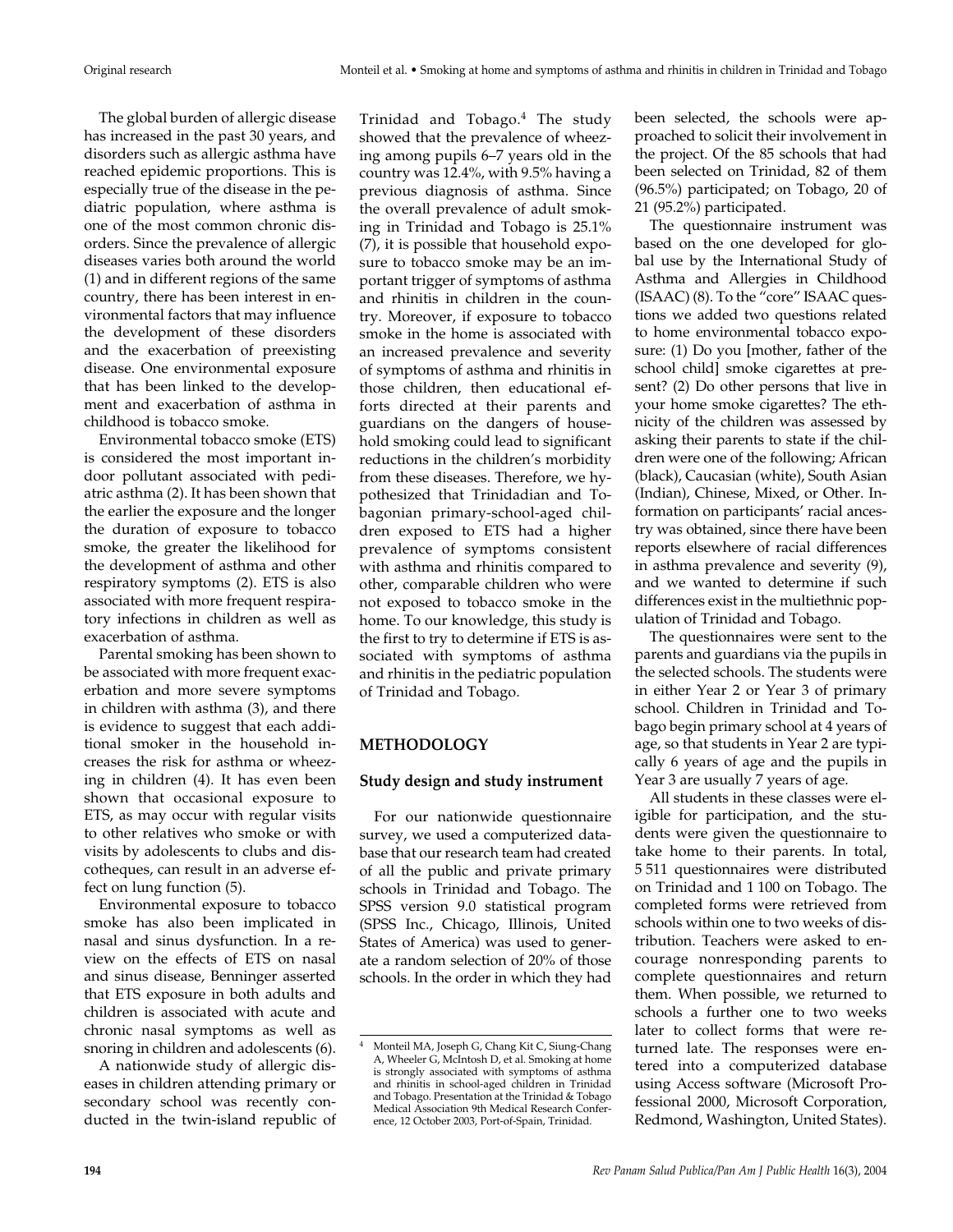The global burden of allergic disease has increased in the past 30 years, and disorders such as allergic asthma have reached epidemic proportions. This is especially true of the disease in the pediatric population, where asthma is one of the most common chronic disorders. Since the prevalence of allergic diseases varies both around the world (1) and in different regions of the same country, there has been interest in environmental factors that may influence the development of these disorders and the exacerbation of preexisting disease. One environmental exposure that has been linked to the development and exacerbation of asthma in childhood is tobacco smoke.

Environmental tobacco smoke (ETS) is considered the most important indoor pollutant associated with pediatric asthma (2). It has been shown that the earlier the exposure and the longer the duration of exposure to tobacco smoke, the greater the likelihood for the development of asthma and other respiratory symptoms (2). ETS is also associated with more frequent respiratory infections in children as well as exacerbation of asthma.

Parental smoking has been shown to be associated with more frequent exacerbation and more severe symptoms in children with asthma (3), and there is evidence to suggest that each additional smoker in the household increases the risk for asthma or wheezing in children (4). It has even been shown that occasional exposure to ETS, as may occur with regular visits to other relatives who smoke or with visits by adolescents to clubs and discotheques, can result in an adverse effect on lung function (5).

Environmental exposure to tobacco smoke has also been implicated in nasal and sinus dysfunction. In a review on the effects of ETS on nasal and sinus disease, Benninger asserted that ETS exposure in both adults and children is associated with acute and chronic nasal symptoms as well as snoring in children and adolescents (6).

A nationwide study of allergic diseases in children attending primary or secondary school was recently conducted in the twin-island republic of Trinidad and Tobago.<sup>4</sup> The study showed that the prevalence of wheezing among pupils 6–7 years old in the country was 12.4%, with 9.5% having a previous diagnosis of asthma. Since the overall prevalence of adult smoking in Trinidad and Tobago is 25.1% (7), it is possible that household exposure to tobacco smoke may be an important trigger of symptoms of asthma and rhinitis in children in the country. Moreover, if exposure to tobacco smoke in the home is associated with an increased prevalence and severity of symptoms of asthma and rhinitis in those children, then educational efforts directed at their parents and guardians on the dangers of household smoking could lead to significant reductions in the children's morbidity from these diseases. Therefore, we hypothesized that Trinidadian and Tobagonian primary-school-aged children exposed to ETS had a higher prevalence of symptoms consistent with asthma and rhinitis compared to other, comparable children who were not exposed to tobacco smoke in the home. To our knowledge, this study is the first to try to determine if ETS is associated with symptoms of asthma and rhinitis in the pediatric population of Trinidad and Tobago.

# **METHODOLOGY**

# **Study design and study instrument**

For our nationwide questionnaire survey, we used a computerized database that our research team had created of all the public and private primary schools in Trinidad and Tobago. The SPSS version 9.0 statistical program (SPSS Inc., Chicago, Illinois, United States of America) was used to generate a random selection of 20% of those schools. In the order in which they had

been selected, the schools were approached to solicit their involvement in the project. Of the 85 schools that had been selected on Trinidad, 82 of them (96.5%) participated; on Tobago, 20 of 21 (95.2%) participated.

The questionnaire instrument was based on the one developed for global use by the International Study of Asthma and Allergies in Childhood (ISAAC) (8). To the "core" ISAAC questions we added two questions related to home environmental tobacco exposure: (1) Do you [mother, father of the school child] smoke cigarettes at present? (2) Do other persons that live in your home smoke cigarettes? The ethnicity of the children was assessed by asking their parents to state if the children were one of the following; African (black), Caucasian (white), South Asian (Indian), Chinese, Mixed, or Other. Information on participants' racial ancestry was obtained, since there have been reports elsewhere of racial differences in asthma prevalence and severity (9), and we wanted to determine if such differences exist in the multiethnic population of Trinidad and Tobago.

The questionnaires were sent to the parents and guardians via the pupils in the selected schools. The students were in either Year 2 or Year 3 of primary school. Children in Trinidad and Tobago begin primary school at 4 years of age, so that students in Year 2 are typically 6 years of age and the pupils in Year 3 are usually 7 years of age.

All students in these classes were eligible for participation, and the students were given the questionnaire to take home to their parents. In total, 5 511 questionnaires were distributed on Trinidad and 1 100 on Tobago. The completed forms were retrieved from schools within one to two weeks of distribution. Teachers were asked to encourage nonresponding parents to complete questionnaires and return them. When possible, we returned to schools a further one to two weeks later to collect forms that were returned late. The responses were entered into a computerized database using Access software (Microsoft Professional 2000, Microsoft Corporation, Redmond, Washington, United States).

<sup>4</sup> Monteil MA, Joseph G, Chang Kit C, Siung-Chang A, Wheeler G, McIntosh D, et al. Smoking at home is strongly associated with symptoms of asthma and rhinitis in school-aged children in Trinidad and Tobago. Presentation at the Trinidad & Tobago Medical Association 9th Medical Research Conference, 12 October 2003, Port-of-Spain, Trinidad.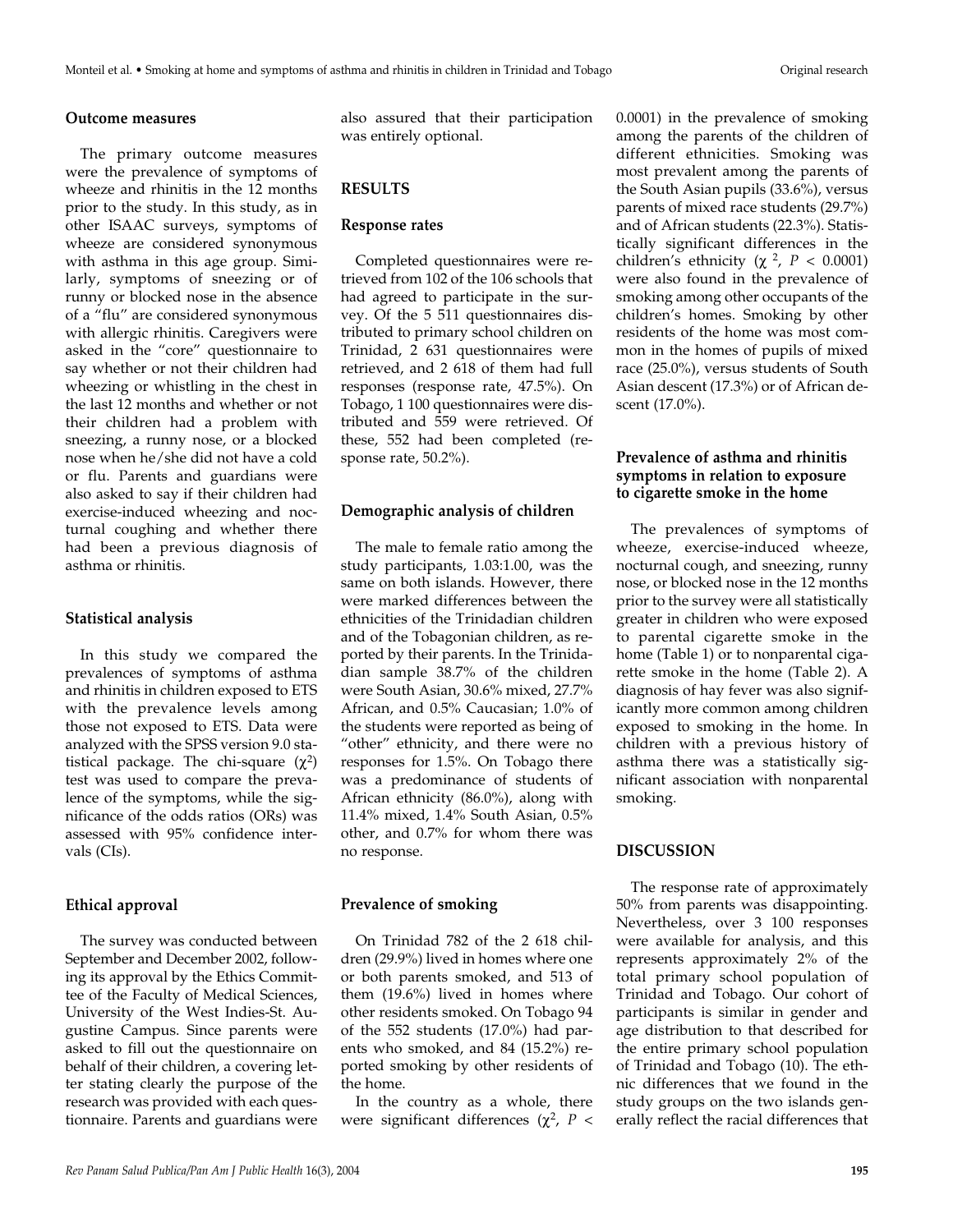## **Outcome measures**

The primary outcome measures were the prevalence of symptoms of wheeze and rhinitis in the 12 months prior to the study. In this study, as in other ISAAC surveys, symptoms of wheeze are considered synonymous with asthma in this age group. Similarly, symptoms of sneezing or of runny or blocked nose in the absence of a "flu" are considered synonymous with allergic rhinitis. Caregivers were asked in the "core" questionnaire to say whether or not their children had wheezing or whistling in the chest in the last 12 months and whether or not their children had a problem with sneezing, a runny nose, or a blocked nose when he/she did not have a cold or flu. Parents and guardians were also asked to say if their children had exercise-induced wheezing and nocturnal coughing and whether there had been a previous diagnosis of asthma or rhinitis.

#### **Statistical analysis**

In this study we compared the prevalences of symptoms of asthma and rhinitis in children exposed to ETS with the prevalence levels among those not exposed to ETS. Data were analyzed with the SPSS version 9.0 statistical package. The chi-square  $(\chi^2)$ test was used to compare the prevalence of the symptoms, while the significance of the odds ratios (ORs) was assessed with 95% confidence intervals (CIs).

### **Ethical approval**

The survey was conducted between September and December 2002, following its approval by the Ethics Committee of the Faculty of Medical Sciences, University of the West Indies-St. Augustine Campus. Since parents were asked to fill out the questionnaire on behalf of their children, a covering letter stating clearly the purpose of the research was provided with each questionnaire. Parents and guardians were also assured that their participation was entirely optional.

# **RESULTS**

#### **Response rates**

Completed questionnaires were retrieved from 102 of the 106 schools that had agreed to participate in the survey. Of the 5 511 questionnaires distributed to primary school children on Trinidad, 2 631 questionnaires were retrieved, and 2 618 of them had full responses (response rate, 47.5%). On Tobago, 1 100 questionnaires were distributed and 559 were retrieved. Of these, 552 had been completed (response rate, 50.2%).

#### **Demographic analysis of children**

The male to female ratio among the study participants, 1.03:1.00, was the same on both islands. However, there were marked differences between the ethnicities of the Trinidadian children and of the Tobagonian children, as reported by their parents. In the Trinidadian sample 38.7% of the children were South Asian, 30.6% mixed, 27.7% African, and 0.5% Caucasian; 1.0% of the students were reported as being of "other" ethnicity, and there were no responses for 1.5%. On Tobago there was a predominance of students of African ethnicity (86.0%), along with 11.4% mixed, 1.4% South Asian, 0.5% other, and 0.7% for whom there was no response.

#### **Prevalence of smoking**

On Trinidad 782 of the 2 618 children (29.9%) lived in homes where one or both parents smoked, and 513 of them (19.6%) lived in homes where other residents smoked. On Tobago 94 of the 552 students (17.0%) had parents who smoked, and 84 (15.2%) reported smoking by other residents of the home.

In the country as a whole, there were significant differences ( $χ²$ ,  $P$  <

0.0001) in the prevalence of smoking among the parents of the children of different ethnicities. Smoking was most prevalent among the parents of the South Asian pupils (33.6%), versus parents of mixed race students (29.7%) and of African students (22.3%). Statistically significant differences in the children's ethnicity ( $\chi^2$ ,  $P < 0.0001$ ) were also found in the prevalence of smoking among other occupants of the children's homes. Smoking by other residents of the home was most common in the homes of pupils of mixed race (25.0%), versus students of South Asian descent (17.3%) or of African descent (17.0%).

## **Prevalence of asthma and rhinitis symptoms in relation to exposure to cigarette smoke in the home**

The prevalences of symptoms of wheeze, exercise-induced wheeze, nocturnal cough, and sneezing, runny nose, or blocked nose in the 12 months prior to the survey were all statistically greater in children who were exposed to parental cigarette smoke in the home (Table 1) or to nonparental cigarette smoke in the home (Table 2). A diagnosis of hay fever was also significantly more common among children exposed to smoking in the home. In children with a previous history of asthma there was a statistically significant association with nonparental smoking.

# **DISCUSSION**

The response rate of approximately 50% from parents was disappointing. Nevertheless, over 3 100 responses were available for analysis, and this represents approximately 2% of the total primary school population of Trinidad and Tobago. Our cohort of participants is similar in gender and age distribution to that described for the entire primary school population of Trinidad and Tobago (10). The ethnic differences that we found in the study groups on the two islands generally reflect the racial differences that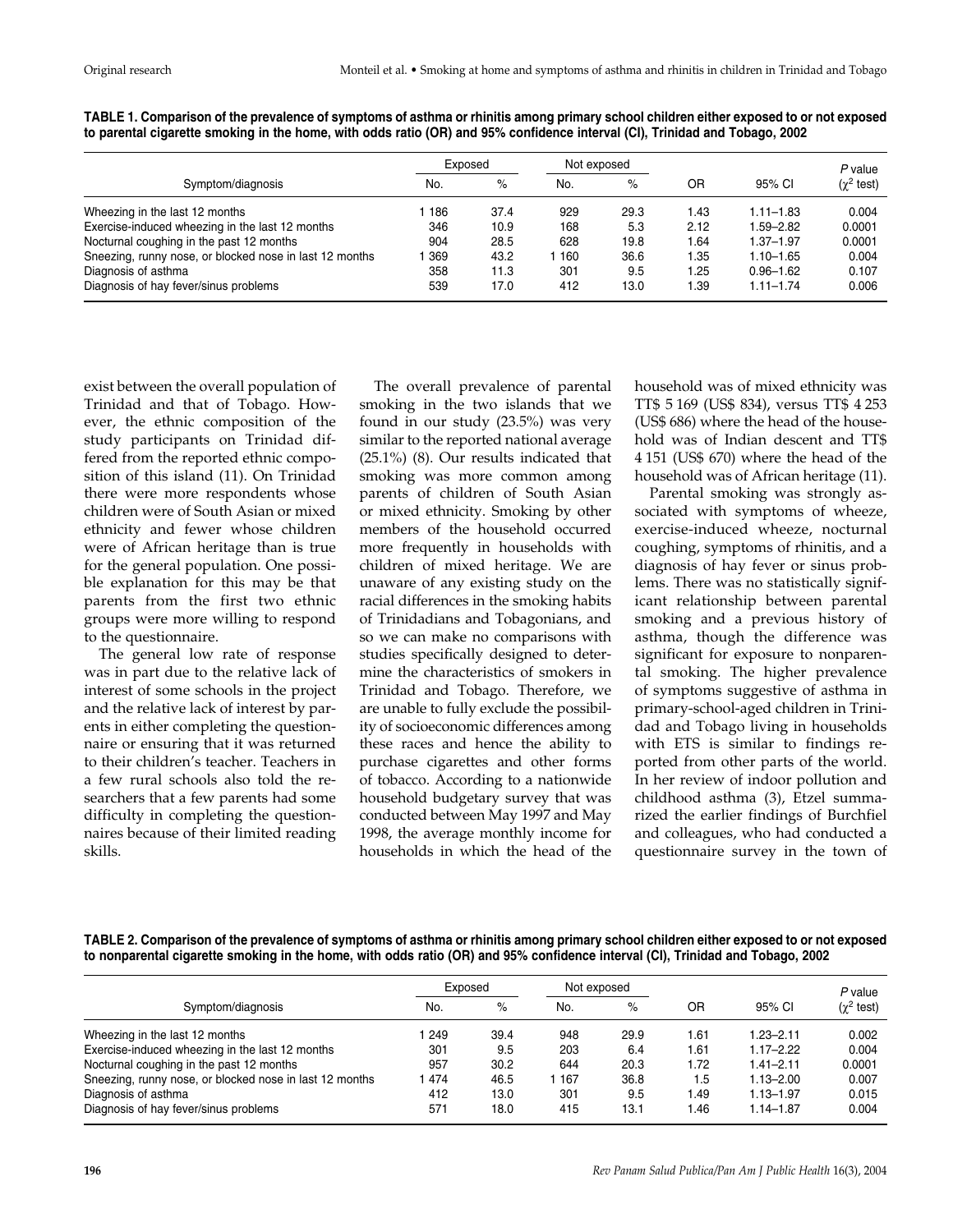|                                                         | Exposed |      | Not exposed |      |      |               | P value                 |
|---------------------------------------------------------|---------|------|-------------|------|------|---------------|-------------------------|
| Symptom/diagnosis                                       | No.     | %    | No.         | $\%$ | OR   | 95% CI        | $(\chi^2 \text{ test})$ |
| Wheezing in the last 12 months                          | 186     | 37.4 | 929         | 29.3 | l.43 | $1.11 - 1.83$ | 0.004                   |
| Exercise-induced wheezing in the last 12 months         | 346     | 10.9 | 168         | 5.3  | 2.12 | 1.59-2.82     | 0.0001                  |
| Nocturnal coughing in the past 12 months                | 904     | 28.5 | 628         | 19.8 | l.64 | $1.37 - 1.97$ | 0.0001                  |
| Sneezing, runny nose, or blocked nose in last 12 months | 369     | 43.2 | 160         | 36.6 | l.35 | $1.10 - 1.65$ | 0.004                   |
| Diagnosis of asthma                                     | 358     | 11.3 | 301         | 9.5  | .25  | $0.96 - 1.62$ | 0.107                   |
| Diagnosis of hay fever/sinus problems                   | 539     | 17.0 | 412         | 13.0 | .39  | $1.11 - 1.74$ | 0.006                   |

**TABLE 1. Comparison of the prevalence of symptoms of asthma or rhinitis among primary school children either exposed to or not exposed to parental cigarette smoking in the home, with odds ratio (OR) and 95% confidence interval (CI), Trinidad and Tobago, 2002** 

exist between the overall population of Trinidad and that of Tobago. However, the ethnic composition of the study participants on Trinidad differed from the reported ethnic composition of this island (11). On Trinidad there were more respondents whose children were of South Asian or mixed ethnicity and fewer whose children were of African heritage than is true for the general population. One possible explanation for this may be that parents from the first two ethnic groups were more willing to respond to the questionnaire.

The general low rate of response was in part due to the relative lack of interest of some schools in the project and the relative lack of interest by parents in either completing the questionnaire or ensuring that it was returned to their children's teacher. Teachers in a few rural schools also told the researchers that a few parents had some difficulty in completing the questionnaires because of their limited reading skills.

The overall prevalence of parental smoking in the two islands that we found in our study (23.5%) was very similar to the reported national average (25.1%) (8). Our results indicated that smoking was more common among parents of children of South Asian or mixed ethnicity. Smoking by other members of the household occurred more frequently in households with children of mixed heritage. We are unaware of any existing study on the racial differences in the smoking habits of Trinidadians and Tobagonians, and so we can make no comparisons with studies specifically designed to determine the characteristics of smokers in Trinidad and Tobago. Therefore, we are unable to fully exclude the possibility of socioeconomic differences among these races and hence the ability to purchase cigarettes and other forms of tobacco. According to a nationwide household budgetary survey that was conducted between May 1997 and May 1998, the average monthly income for households in which the head of the

household was of mixed ethnicity was TT\$ 5 169 (US\$ 834), versus TT\$ 4 253 (US\$ 686) where the head of the household was of Indian descent and TT\$ 4 151 (US\$ 670) where the head of the household was of African heritage (11).

Parental smoking was strongly associated with symptoms of wheeze, exercise-induced wheeze, nocturnal coughing, symptoms of rhinitis, and a diagnosis of hay fever or sinus problems. There was no statistically significant relationship between parental smoking and a previous history of asthma, though the difference was significant for exposure to nonparental smoking. The higher prevalence of symptoms suggestive of asthma in primary-school-aged children in Trinidad and Tobago living in households with ETS is similar to findings reported from other parts of the world. In her review of indoor pollution and childhood asthma (3), Etzel summarized the earlier findings of Burchfiel and colleagues, who had conducted a questionnaire survey in the town of

**TABLE 2. Comparison of the prevalence of symptoms of asthma or rhinitis among primary school children either exposed to or not exposed to nonparental cigarette smoking in the home, with odds ratio (OR) and 95% confidence interval (CI), Trinidad and Tobago, 2002** 

|                                                         | Exposed |      | Not exposed |      |      |               | P value                 |
|---------------------------------------------------------|---------|------|-------------|------|------|---------------|-------------------------|
| Symptom/diagnosis                                       | No.     | $\%$ | No.         | $\%$ | OR   | 95% CI        | $(\chi^2 \text{ test})$ |
| Wheezing in the last 12 months                          | 249     | 39.4 | 948         | 29.9 | .61  | $1.23 - 2.11$ | 0.002                   |
| Exercise-induced wheezing in the last 12 months         | 301     | 9.5  | 203         | 6.4  | l.61 | $1.17 - 2.22$ | 0.004                   |
| Nocturnal coughing in the past 12 months                | 957     | 30.2 | 644         | 20.3 | 1.72 | $1.41 - 2.11$ | 0.0001                  |
| Sneezing, runny nose, or blocked nose in last 12 months | 474     | 46.5 | 167         | 36.8 | 1.5  | $1.13 - 2.00$ | 0.007                   |
| Diagnosis of asthma                                     | 412     | 13.0 | 301         | 9.5  | .49  | $1.13 - 1.97$ | 0.015                   |
| Diagnosis of hay fever/sinus problems                   | 571     | 18.0 | 415         | 13.1 | .46  | $1.14 - 1.87$ | 0.004                   |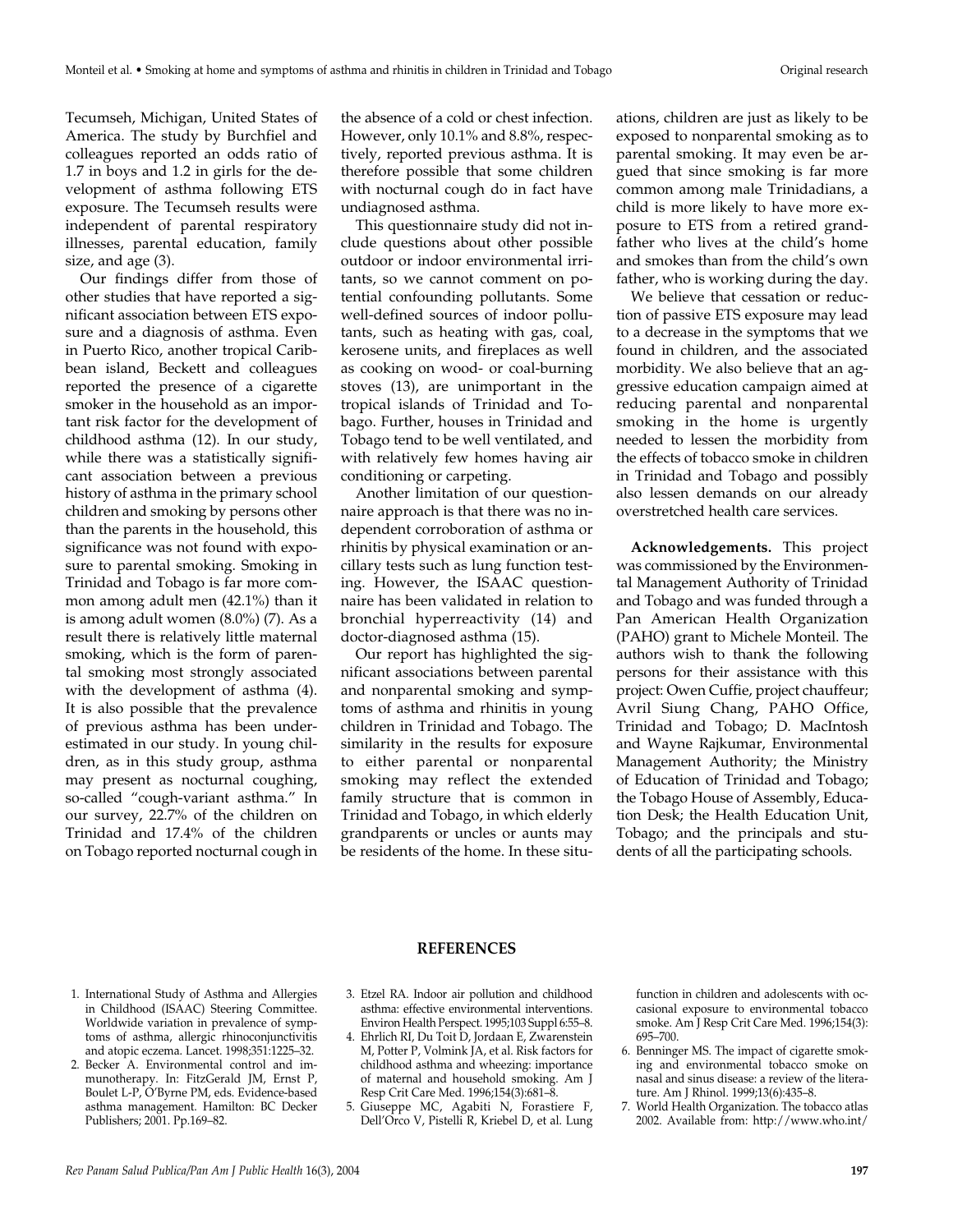Tecumseh, Michigan, United States of America. The study by Burchfiel and colleagues reported an odds ratio of 1.7 in boys and 1.2 in girls for the development of asthma following ETS exposure. The Tecumseh results were independent of parental respiratory illnesses, parental education, family size, and age (3).

Our findings differ from those of other studies that have reported a significant association between ETS exposure and a diagnosis of asthma. Even in Puerto Rico, another tropical Caribbean island, Beckett and colleagues reported the presence of a cigarette smoker in the household as an important risk factor for the development of childhood asthma (12). In our study, while there was a statistically significant association between a previous history of asthma in the primary school children and smoking by persons other than the parents in the household, this significance was not found with exposure to parental smoking. Smoking in Trinidad and Tobago is far more common among adult men (42.1%) than it is among adult women (8.0%) (7). As a result there is relatively little maternal smoking, which is the form of parental smoking most strongly associated with the development of asthma (4). It is also possible that the prevalence of previous asthma has been underestimated in our study. In young children, as in this study group, asthma may present as nocturnal coughing, so-called "cough-variant asthma." In our survey, 22.7% of the children on Trinidad and 17.4% of the children on Tobago reported nocturnal cough in

the absence of a cold or chest infection. However, only 10.1% and 8.8%, respectively, reported previous asthma. It is therefore possible that some children with nocturnal cough do in fact have undiagnosed asthma.

This questionnaire study did not include questions about other possible outdoor or indoor environmental irritants, so we cannot comment on potential confounding pollutants. Some well-defined sources of indoor pollutants, such as heating with gas, coal, kerosene units, and fireplaces as well as cooking on wood- or coal-burning stoves (13), are unimportant in the tropical islands of Trinidad and Tobago. Further, houses in Trinidad and Tobago tend to be well ventilated, and with relatively few homes having air conditioning or carpeting.

Another limitation of our questionnaire approach is that there was no independent corroboration of asthma or rhinitis by physical examination or ancillary tests such as lung function testing. However, the ISAAC questionnaire has been validated in relation to bronchial hyperreactivity (14) and doctor-diagnosed asthma (15).

Our report has highlighted the significant associations between parental and nonparental smoking and symptoms of asthma and rhinitis in young children in Trinidad and Tobago. The similarity in the results for exposure to either parental or nonparental smoking may reflect the extended family structure that is common in Trinidad and Tobago, in which elderly grandparents or uncles or aunts may be residents of the home. In these situations, children are just as likely to be exposed to nonparental smoking as to parental smoking. It may even be argued that since smoking is far more common among male Trinidadians, a child is more likely to have more exposure to ETS from a retired grandfather who lives at the child's home and smokes than from the child's own father, who is working during the day.

We believe that cessation or reduction of passive ETS exposure may lead to a decrease in the symptoms that we found in children, and the associated morbidity. We also believe that an aggressive education campaign aimed at reducing parental and nonparental smoking in the home is urgently needed to lessen the morbidity from the effects of tobacco smoke in children in Trinidad and Tobago and possibly also lessen demands on our already overstretched health care services.

**Acknowledgements.** This project was commissioned by the Environmental Management Authority of Trinidad and Tobago and was funded through a Pan American Health Organization (PAHO) grant to Michele Monteil. The authors wish to thank the following persons for their assistance with this project: Owen Cuffie, project chauffeur; Avril Siung Chang, PAHO Office, Trinidad and Tobago; D. MacIntosh and Wayne Rajkumar, Environmental Management Authority; the Ministry of Education of Trinidad and Tobago; the Tobago House of Assembly, Education Desk; the Health Education Unit, Tobago; and the principals and students of all the participating schools.

#### **REFERENCES**

- 1. International Study of Asthma and Allergies in Childhood (ISAAC) Steering Committee. Worldwide variation in prevalence of symptoms of asthma, allergic rhinoconjunctivitis and atopic eczema. Lancet. 1998;351:1225–32.
- 2. Becker A. Environmental control and immunotherapy. In: FitzGerald JM, Ernst P, Boulet L-P, O'Byrne PM, eds. Evidence-based asthma management. Hamilton: BC Decker Publishers; 2001. Pp.169-82.
- 3. Etzel RA. Indoor air pollution and childhood asthma: effective environmental interventions. Environ Health Perspect. 1995;103 Suppl 6:55–8.
- 4. Ehrlich RI, Du Toit D, Jordaan E, Zwarenstein M, Potter P, Volmink JA, et al. Risk factors for childhood asthma and wheezing: importance of maternal and household smoking. Am J Resp Crit Care Med. 1996;154(3):681–8.
- 5. Giuseppe MC, Agabiti N, Forastiere F, Dell'Orco V, Pistelli R, Kriebel D, et al. Lung

function in children and adolescents with occasional exposure to environmental tobacco smoke. Am J Resp Crit Care Med. 1996;154(3): 695–700.

- 6. Benninger MS. The impact of cigarette smoking and environmental tobacco smoke on nasal and sinus disease: a review of the literature. Am J Rhinol. 1999;13(6):435–8.
- 7. World Health Organization. The tobacco atlas 2002. Available from: http://www.who.int/